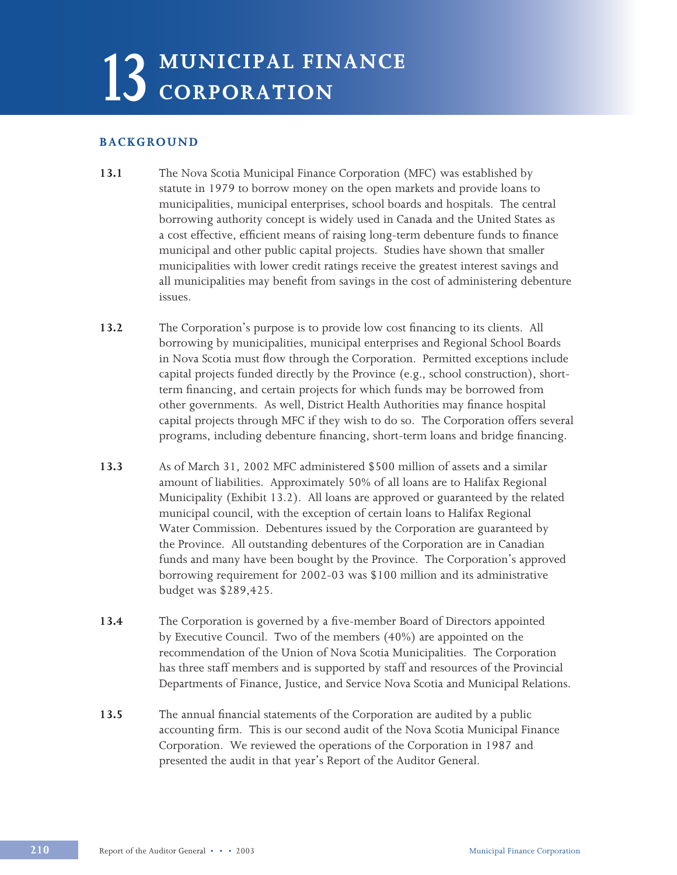# 13 MUNICIPAL FINANCE CORPORATION **CORPORATION**

# **BACKGROUND**

- **13.1** The Nova Scotia Municipal Finance Corporation (MFC) was established by statute in 1979 to borrow money on the open markets and provide loans to municipalities, municipal enterprises, school boards and hospitals. The central borrowing authority concept is widely used in Canada and the United States as a cost effective, efficient means of raising long-term debenture funds to finance municipal and other public capital projects. Studies have shown that smaller municipalities with lower credit ratings receive the greatest interest savings and all municipalities may benefit from savings in the cost of administering debenture issues.
- **13.2** The Corporation's purpose is to provide low cost financing to its clients. All borrowing by municipalities, municipal enterprises and Regional School Boards in Nova Scotia must flow through the Corporation. Permitted exceptions include capital projects funded directly by the Province (e.g., school construction), shortterm financing, and certain projects for which funds may be borrowed from other governments. As well, District Health Authorities may finance hospital capital projects through MFC if they wish to do so. The Corporation offers several programs, including debenture financing, short-term loans and bridge financing.
- **13.3** As of March 31, 2002 MFC administered \$500 million of assets and a similar amount of liabilities. Approximately 50% of all loans are to Halifax Regional Municipality (Exhibit 13.2). All loans are approved or guaranteed by the related municipal council, with the exception of certain loans to Halifax Regional Water Commission. Debentures issued by the Corporation are guaranteed by the Province. All outstanding debentures of the Corporation are in Canadian funds and many have been bought by the Province. The Corporation's approved borrowing requirement for 2002-03 was \$100 million and its administrative budget was \$289,425.
- **13.4** The Corporation is governed by a five-member Board of Directors appointed by Executive Council. Two of the members (40%) are appointed on the recommendation of the Union of Nova Scotia Municipalities. The Corporation has three staff members and is supported by staff and resources of the Provincial Departments of Finance, Justice, and Service Nova Scotia and Municipal Relations.
- **13.5** The annual financial statements of the Corporation are audited by a public accounting firm. This is our second audit of the Nova Scotia Municipal Finance Corporation. We reviewed the operations of the Corporation in 1987 and presented the audit in that year's Report of the Auditor General.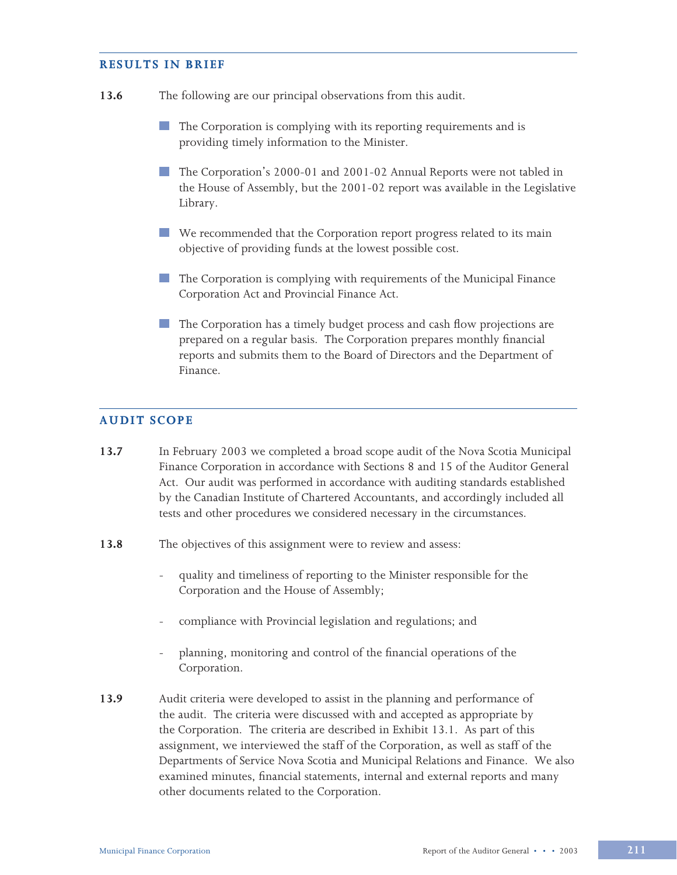# **RESULTS IN BRIEF**

- **13.6** The following are our principal observations from this audit.
	- The Corporation is complying with its reporting requirements and is providing timely information to the Minister.
	- The Corporation's 2000-01 and 2001-02 Annual Reports were not tabled in the House of Assembly, but the 2001-02 report was available in the Legislative Library.
	- We recommended that the Corporation report progress related to its main objective of providing funds at the lowest possible cost.
	- The Corporation is complying with requirements of the Municipal Finance Corporation Act and Provincial Finance Act.
	- The Corporation has a timely budget process and cash flow projections are prepared on a regular basis. The Corporation prepares monthly financial reports and submits them to the Board of Directors and the Department of Finance.

# **AUDIT SCOPE**

- **13.7** In February 2003 we completed a broad scope audit of the Nova Scotia Municipal Finance Corporation in accordance with Sections 8 and 15 of the Auditor General Act. Our audit was performed in accordance with auditing standards established by the Canadian Institute of Chartered Accountants, and accordingly included all tests and other procedures we considered necessary in the circumstances.
- **13.8** The objectives of this assignment were to review and assess:
	- quality and timeliness of reporting to the Minister responsible for the Corporation and the House of Assembly;
	- compliance with Provincial legislation and regulations; and
	- planning, monitoring and control of the financial operations of the Corporation.
- **13.9** Audit criteria were developed to assist in the planning and performance of the audit. The criteria were discussed with and accepted as appropriate by the Corporation. The criteria are described in Exhibit 13.1. As part of this assignment, we interviewed the staff of the Corporation, as well as staff of the Departments of Service Nova Scotia and Municipal Relations and Finance. We also examined minutes, financial statements, internal and external reports and many other documents related to the Corporation.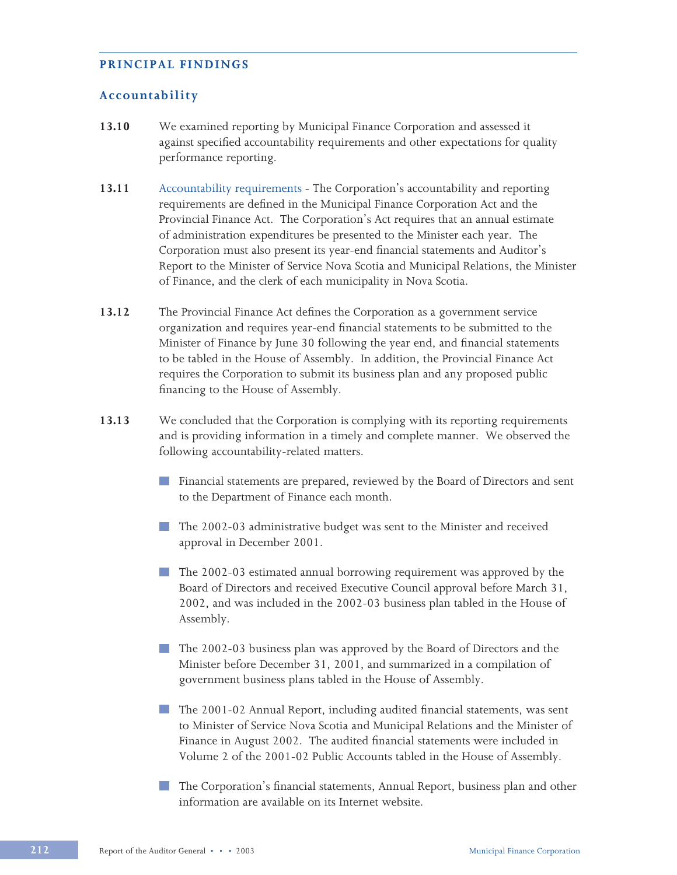# **PRINCIPAL FINDINGS**

# **Accountability**

- **13.10** We examined reporting by Municipal Finance Corporation and assessed it against specified accountability requirements and other expectations for quality performance reporting.
- **13.11** Accountability requirements The Corporation's accountability and reporting requirements are defined in the Municipal Finance Corporation Act and the Provincial Finance Act. The Corporation's Act requires that an annual estimate of administration expenditures be presented to the Minister each year. The Corporation must also present its year-end financial statements and Auditor's Report to the Minister of Service Nova Scotia and Municipal Relations, the Minister of Finance, and the clerk of each municipality in Nova Scotia.
- **13.12** The Provincial Finance Act defines the Corporation as a government service organization and requires year-end financial statements to be submitted to the Minister of Finance by June 30 following the year end, and financial statements to be tabled in the House of Assembly. In addition, the Provincial Finance Act requires the Corporation to submit its business plan and any proposed public financing to the House of Assembly.
- **13.13** We concluded that the Corporation is complying with its reporting requirements and is providing information in a timely and complete manner. We observed the following accountability-related matters.
	- **Financial statements are prepared, reviewed by the Board of Directors and sent** to the Department of Finance each month.
	- **The 2002-03 administrative budget was sent to the Minister and received** approval in December 2001.
	- The 2002-03 estimated annual borrowing requirement was approved by the Board of Directors and received Executive Council approval before March 31, 2002, and was included in the 2002-03 business plan tabled in the House of Assembly.
	- The 2002-03 business plan was approved by the Board of Directors and the Minister before December 31, 2001, and summarized in a compilation of government business plans tabled in the House of Assembly.
	- The 2001-02 Annual Report, including audited financial statements, was sent to Minister of Service Nova Scotia and Municipal Relations and the Minister of Finance in August 2002. The audited financial statements were included in Volume 2 of the 2001-02 Public Accounts tabled in the House of Assembly.
	- The Corporation's financial statements, Annual Report, business plan and other information are available on its Internet website.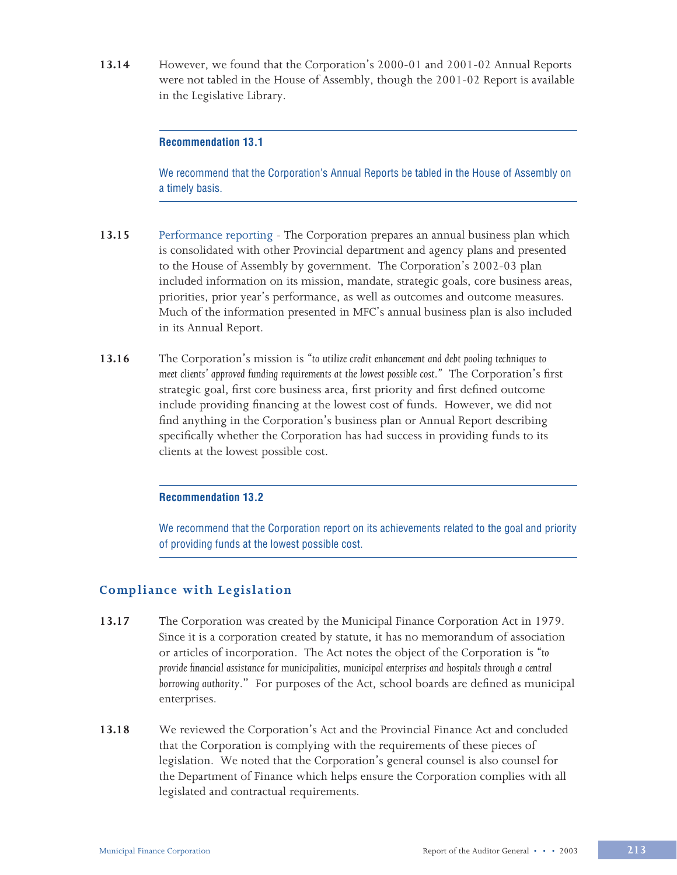**13.14** However, we found that the Corporation's 2000-01 and 2001-02 Annual Reports were not tabled in the House of Assembly, though the 2001-02 Report is available in the Legislative Library.

# **Recommendation 13.1**

We recommend that the Corporation's Annual Reports be tabled in the House of Assembly on a timely basis.

- **13.15** Performance reporting The Corporation prepares an annual business plan which is consolidated with other Provincial department and agency plans and presented to the House of Assembly by government. The Corporation's 2002-03 plan included information on its mission, mandate, strategic goals, core business areas, priorities, prior year's performance, as well as outcomes and outcome measures. Much of the information presented in MFC's annual business plan is also included in its Annual Report.
- **13.16** The Corporation's mission is *"to utilize credit enhancement and debt pooling techniques to meet clients' approved funding requirements at the lowest possible cost."* The Corporation's first strategic goal, first core business area, first priority and first defined outcome include providing financing at the lowest cost of funds. However, we did not find anything in the Corporation's business plan or Annual Report describing specifically whether the Corporation has had success in providing funds to its clients at the lowest possible cost.

# **Recommendation 13.2**

We recommend that the Corporation report on its achievements related to the goal and priority of providing funds at the lowest possible cost.

# **Compliance with Legislation**

- **13.17** The Corporation was created by the Municipal Finance Corporation Act in 1979. Since it is a corporation created by statute, it has no memorandum of association or articles of incorporation. The Act notes the object of the Corporation is *"to provide financial assistance for municipalities, municipal enterprises and hospitals through a central borrowing authority*." For purposes of the Act, school boards are defined as municipal enterprises.
- **13.18** We reviewed the Corporation's Act and the Provincial Finance Act and concluded that the Corporation is complying with the requirements of these pieces of legislation. We noted that the Corporation's general counsel is also counsel for the Department of Finance which helps ensure the Corporation complies with all legislated and contractual requirements.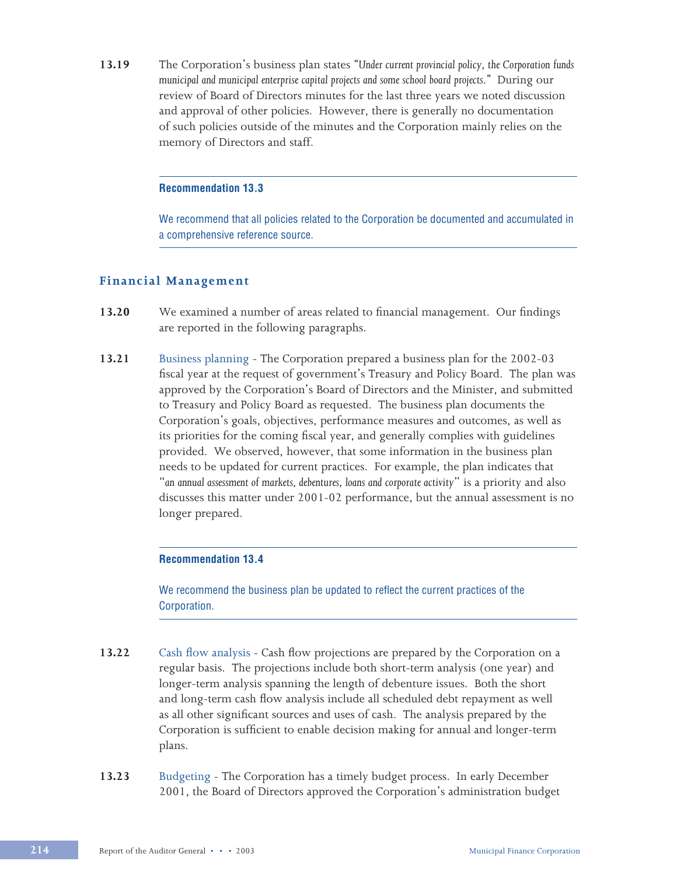**13.19** The Corporation's business plan states *"Under current provincial policy, the Corporation funds municipal and municipal enterprise capital projects and some school board projects."* During our review of Board of Directors minutes for the last three years we noted discussion and approval of other policies. However, there is generally no documentation of such policies outside of the minutes and the Corporation mainly relies on the memory of Directors and staff.

### **Recommendation 13.3**

We recommend that all policies related to the Corporation be documented and accumulated in a comprehensive reference source.

# **Financial Management**

- **13.20** We examined a number of areas related to financial management. Our findings are reported in the following paragraphs.
- **13.21** Business planning The Corporation prepared a business plan for the 2002-03 fiscal year at the request of government's Treasury and Policy Board. The plan was approved by the Corporation's Board of Directors and the Minister, and submitted to Treasury and Policy Board as requested. The business plan documents the Corporation's goals, objectives, performance measures and outcomes, as well as its priorities for the coming fiscal year, and generally complies with guidelines provided. We observed, however, that some information in the business plan needs to be updated for current practices. For example, the plan indicates that "*an annual assessment of markets, debentures, loans and corporate activity*" is a priority and also discusses this matter under 2001-02 performance, but the annual assessment is no longer prepared.

### **Recommendation 13.4**

We recommend the business plan be updated to reflect the current practices of the Corporation.

- **13.22** Cash flow analysis Cash flow projections are prepared by the Corporation on a regular basis. The projections include both short-term analysis (one year) and longer-term analysis spanning the length of debenture issues. Both the short and long-term cash flow analysis include all scheduled debt repayment as well as all other significant sources and uses of cash. The analysis prepared by the Corporation is sufficient to enable decision making for annual and longer-term plans.
- **13.23** Budgeting The Corporation has a timely budget process. In early December 2001, the Board of Directors approved the Corporation's administration budget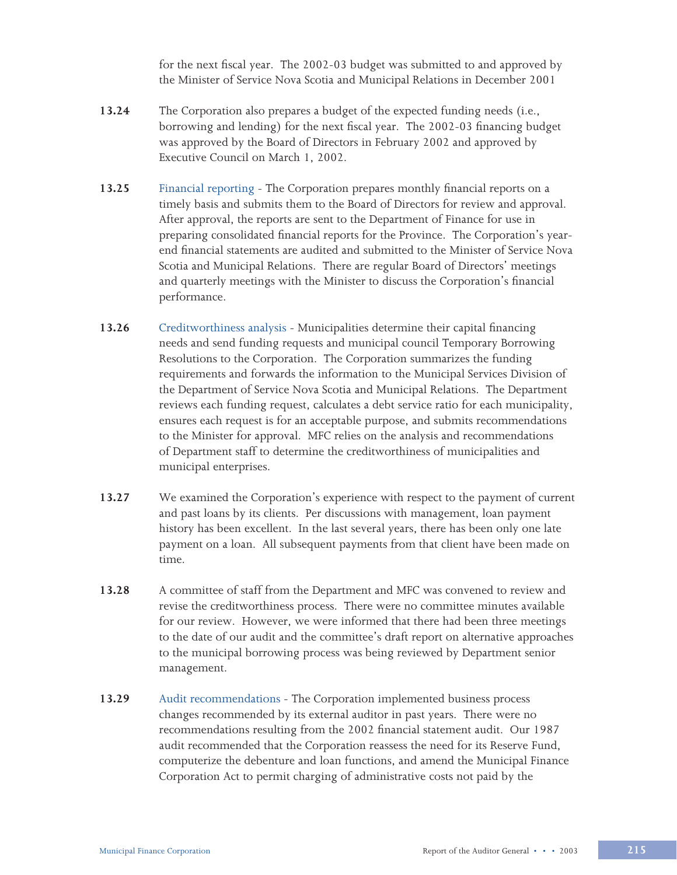for the next fiscal year. The 2002-03 budget was submitted to and approved by the Minister of Service Nova Scotia and Municipal Relations in December 2001

- **13.24** The Corporation also prepares a budget of the expected funding needs (i.e., borrowing and lending) for the next fiscal year. The 2002-03 financing budget was approved by the Board of Directors in February 2002 and approved by Executive Council on March 1, 2002.
- **13.25** Financial reporting The Corporation prepares monthly financial reports on a timely basis and submits them to the Board of Directors for review and approval. After approval, the reports are sent to the Department of Finance for use in preparing consolidated financial reports for the Province. The Corporation's yearend financial statements are audited and submitted to the Minister of Service Nova Scotia and Municipal Relations. There are regular Board of Directors' meetings and quarterly meetings with the Minister to discuss the Corporation's financial performance.
- **13.26** Creditworthiness analysis Municipalities determine their capital financing needs and send funding requests and municipal council Temporary Borrowing Resolutions to the Corporation. The Corporation summarizes the funding requirements and forwards the information to the Municipal Services Division of the Department of Service Nova Scotia and Municipal Relations. The Department reviews each funding request, calculates a debt service ratio for each municipality, ensures each request is for an acceptable purpose, and submits recommendations to the Minister for approval. MFC relies on the analysis and recommendations of Department staff to determine the creditworthiness of municipalities and municipal enterprises.
- **13.27** We examined the Corporation's experience with respect to the payment of current and past loans by its clients. Per discussions with management, loan payment history has been excellent. In the last several years, there has been only one late payment on a loan. All subsequent payments from that client have been made on time.
- **13.28** A committee of staff from the Department and MFC was convened to review and revise the creditworthiness process. There were no committee minutes available for our review. However, we were informed that there had been three meetings to the date of our audit and the committee's draft report on alternative approaches to the municipal borrowing process was being reviewed by Department senior management.
- **13.29** Audit recommendations The Corporation implemented business process changes recommended by its external auditor in past years. There were no recommendations resulting from the 2002 financial statement audit. Our 1987 audit recommended that the Corporation reassess the need for its Reserve Fund, computerize the debenture and loan functions, and amend the Municipal Finance Corporation Act to permit charging of administrative costs not paid by the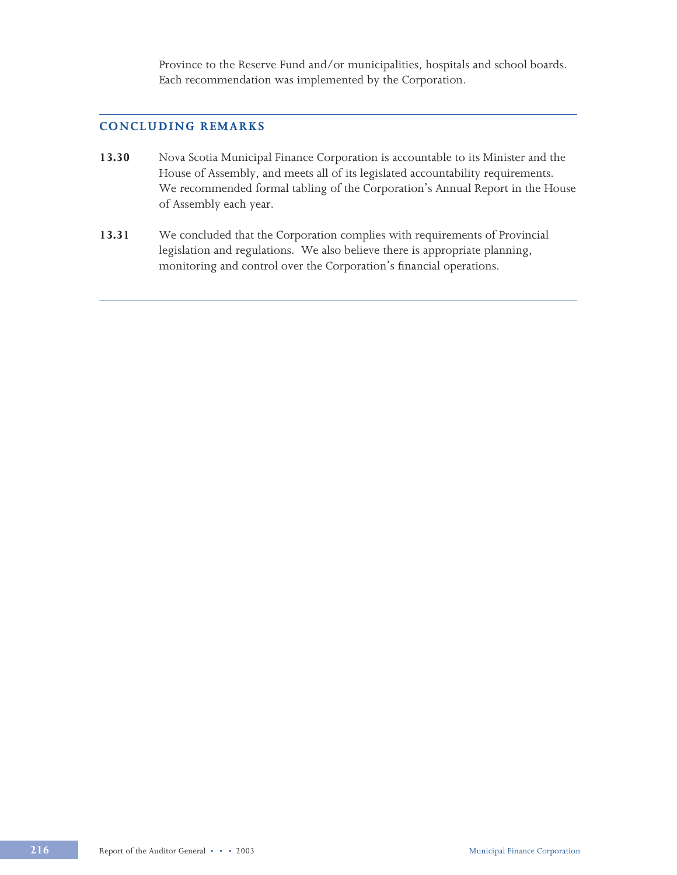Province to the Reserve Fund and/or municipalities, hospitals and school boards. Each recommendation was implemented by the Corporation.

# **CONCLUDING REMARKS**

- **13.30** Nova Scotia Municipal Finance Corporation is accountable to its Minister and the House of Assembly, and meets all of its legislated accountability requirements. We recommended formal tabling of the Corporation's Annual Report in the House of Assembly each year.
- **13.31** We concluded that the Corporation complies with requirements of Provincial legislation and regulations. We also believe there is appropriate planning, monitoring and control over the Corporation's financial operations.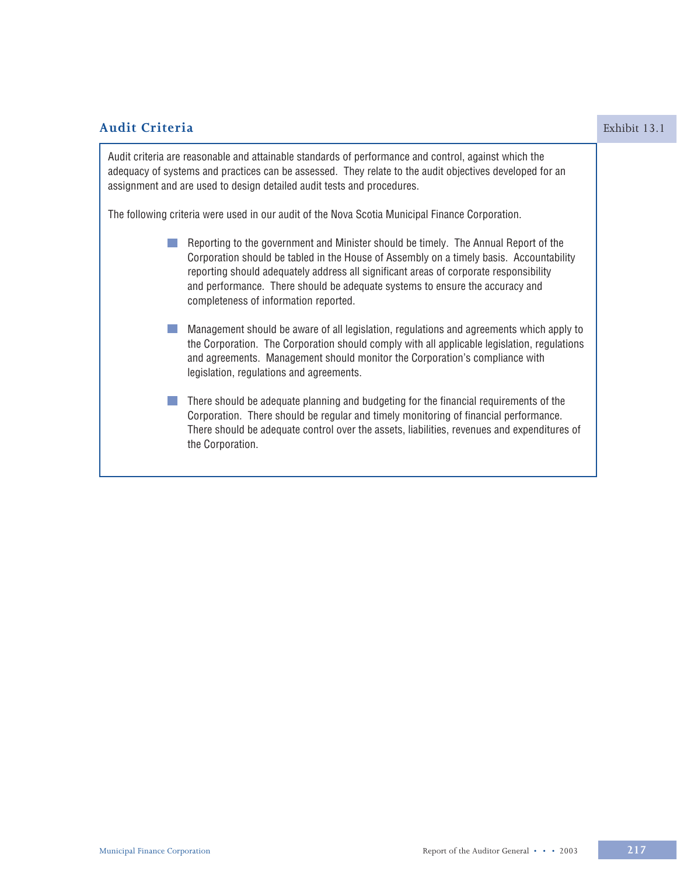| <b>Audit Criteria</b>                                                                                                                                                                                                                                                                                                                                                                            | Exhibit 13.1 |
|--------------------------------------------------------------------------------------------------------------------------------------------------------------------------------------------------------------------------------------------------------------------------------------------------------------------------------------------------------------------------------------------------|--------------|
| Audit criteria are reasonable and attainable standards of performance and control, against which the<br>adequacy of systems and practices can be assessed. They relate to the audit objectives developed for an<br>assignment and are used to design detailed audit tests and procedures.                                                                                                        |              |
| The following criteria were used in our audit of the Nova Scotia Municipal Finance Corporation.                                                                                                                                                                                                                                                                                                  |              |
| Reporting to the government and Minister should be timely. The Annual Report of the<br>Corporation should be tabled in the House of Assembly on a timely basis. Accountability<br>reporting should adequately address all significant areas of corporate responsibility<br>and performance. There should be adequate systems to ensure the accuracy and<br>completeness of information reported. |              |
| Management should be aware of all legislation, regulations and agreements which apply to<br>the Corporation. The Corporation should comply with all applicable legislation, regulations<br>and agreements. Management should monitor the Corporation's compliance with<br>legislation, regulations and agreements.                                                                               |              |
| There should be adequate planning and budgeting for the financial requirements of the<br>Corporation. There should be regular and timely monitoring of financial performance.<br>There should be adequate control over the assets, liabilities, revenues and expenditures of<br>the Corporation.                                                                                                 |              |
|                                                                                                                                                                                                                                                                                                                                                                                                  |              |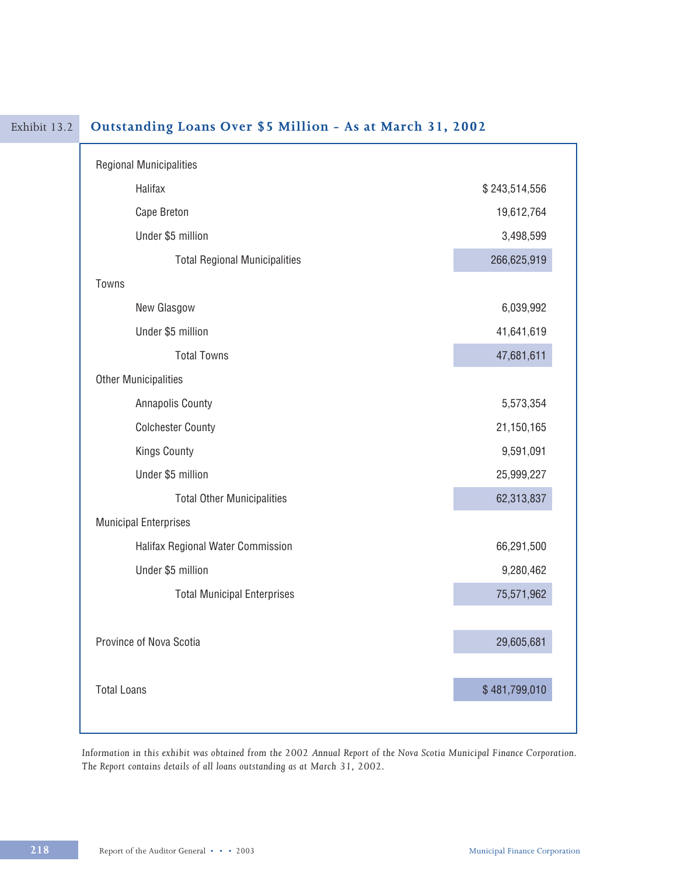| <b>Regional Municipalities</b>       |               |
|--------------------------------------|---------------|
| Halifax                              | \$243,514,556 |
| Cape Breton                          | 19,612,764    |
| Under \$5 million                    | 3,498,599     |
| <b>Total Regional Municipalities</b> | 266,625,919   |
| Towns                                |               |
| New Glasgow                          | 6,039,992     |
| Under \$5 million                    | 41,641,619    |
| <b>Total Towns</b>                   | 47,681,611    |
| <b>Other Municipalities</b>          |               |
| <b>Annapolis County</b>              | 5,573,354     |
| <b>Colchester County</b>             | 21,150,165    |
| <b>Kings County</b>                  | 9,591,091     |
| Under \$5 million                    | 25,999,227    |
| <b>Total Other Municipalities</b>    | 62,313,837    |
| <b>Municipal Enterprises</b>         |               |
| Halifax Regional Water Commission    | 66,291,500    |
| Under \$5 million                    | 9,280,462     |
| <b>Total Municipal Enterprises</b>   | 75,571,962    |
|                                      |               |
| Province of Nova Scotia              | 29,605,681    |
|                                      |               |
| <b>Total Loans</b>                   | \$481,799,010 |

# Exhibit 13.2 **Outstanding Loans Over \$5 Million - As at March 31, 2002**

*Information in this exhibit was obtained from the 2002 Annual Report of the Nova Scotia Municipal Finance Corporation. The Report contains details of all loans outstanding as at March 31, 2002.*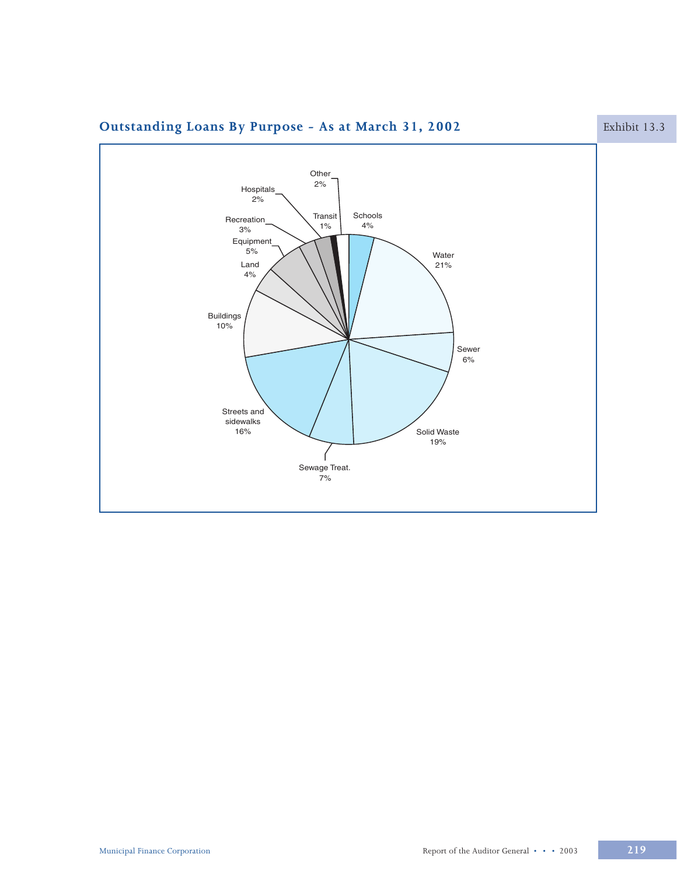

# **Outstanding Loans By Purpose - As at March 31, 2002** Exhibit 13.3